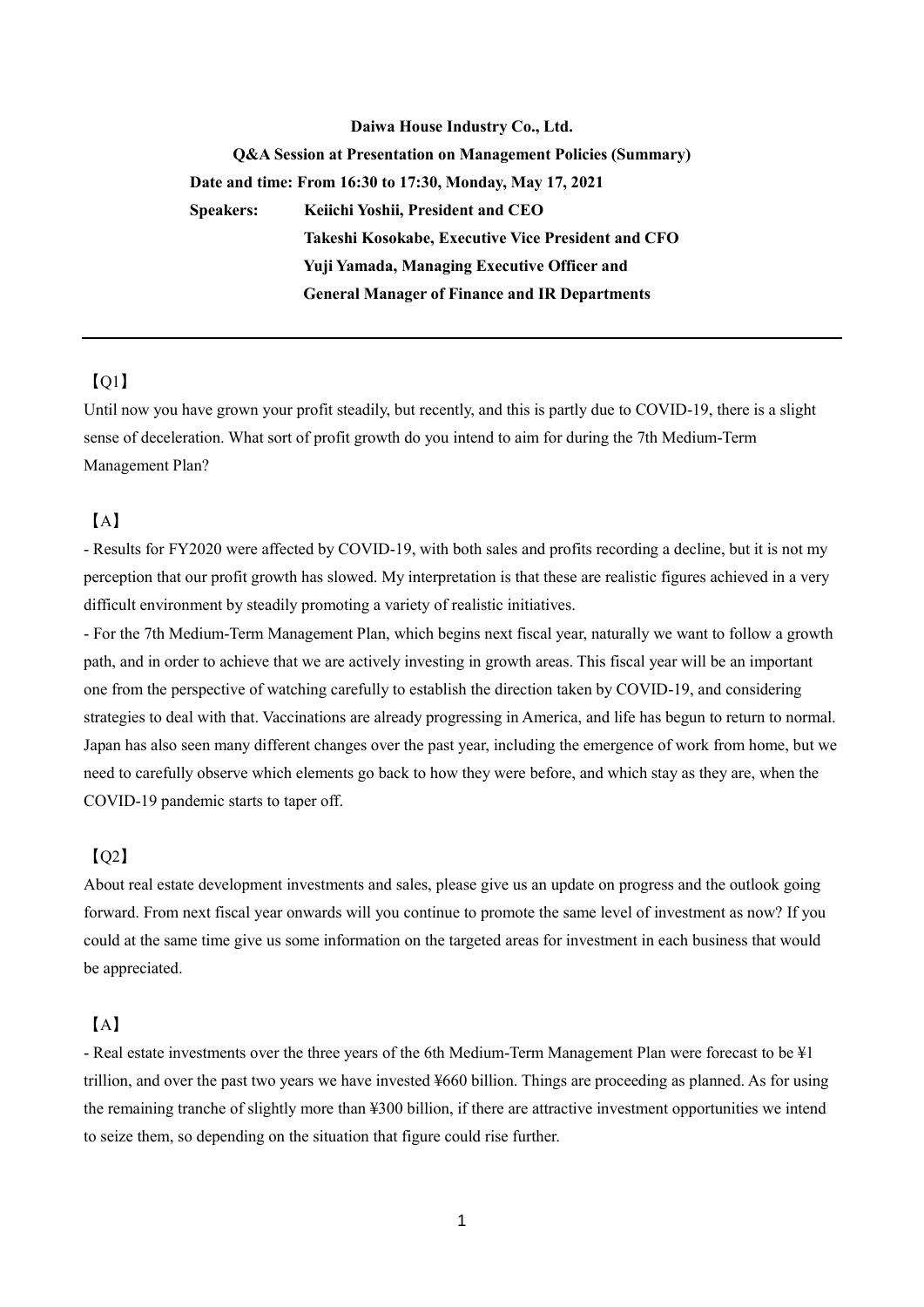# **Daiwa House Industry Co., Ltd. Q&A Session at Presentation on Management Policies (Summary) Date and time: From 16:30 to 17:30, Monday, May 17, 2021 Speakers: Keiichi Yoshii, President and CEO Takeshi Kosokabe, Executive Vice President and CFO Yuji Yamada, Managing Executive Officer and General Manager of Finance and IR Departments**

# 【Q1】

Until now you have grown your profit steadily, but recently, and this is partly due to COVID-19, there is a slight sense of deceleration. What sort of profit growth do you intend to aim for during the 7th Medium-Term Management Plan?

## 【A】

- Results for FY2020 were affected by COVID-19, with both sales and profits recording a decline, but it is not my perception that our profit growth has slowed. My interpretation is that these are realistic figures achieved in a very difficult environment by steadily promoting a variety of realistic initiatives.

- For the 7th Medium-Term Management Plan, which begins next fiscal year, naturally we want to follow a growth path, and in order to achieve that we are actively investing in growth areas. This fiscal year will be an important one from the perspective of watching carefully to establish the direction taken by COVID-19, and considering strategies to deal with that. Vaccinations are already progressing in America, and life has begun to return to normal. Japan has also seen many different changes over the past year, including the emergence of work from home, but we need to carefully observe which elements go back to how they were before, and which stay as they are, when the COVID-19 pandemic starts to taper off.

# 【Q2】

About real estate development investments and sales, please give us an update on progress and the outlook going forward. From next fiscal year onwards will you continue to promote the same level of investment as now? If you could at the same time give us some information on the targeted areas for investment in each business that would be appreciated.

## 【A】

- Real estate investments over the three years of the 6th Medium-Term Management Plan were forecast to be ¥1 trillion, and over the past two years we have invested ¥660 billion. Things are proceeding as planned. As for using the remaining tranche of slightly more than ¥300 billion, if there are attractive investment opportunities we intend to seize them, so depending on the situation that figure could rise further.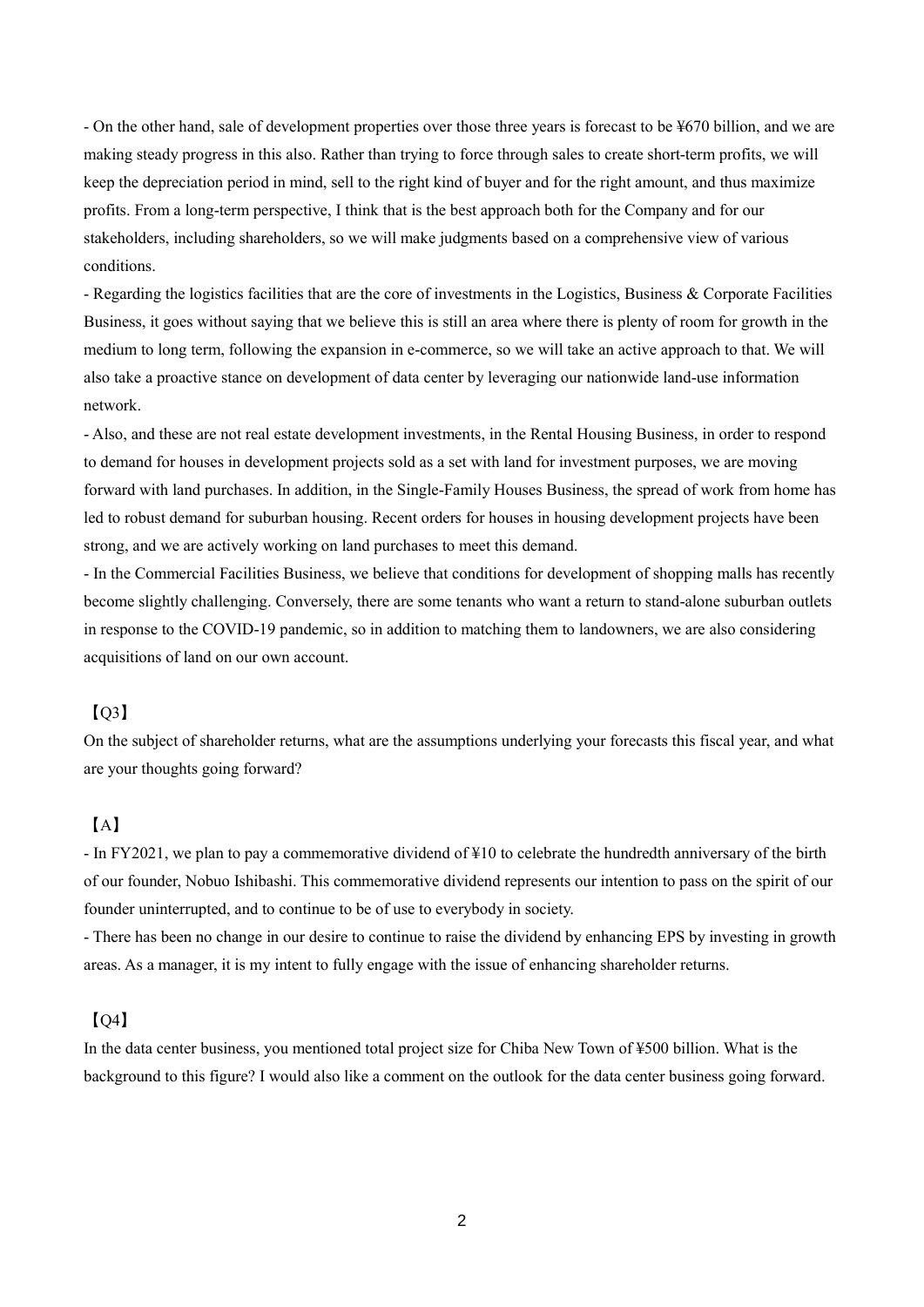- On the other hand, sale of development properties over those three years is forecast to be ¥670 billion, and we are making steady progress in this also. Rather than trying to force through sales to create short-term profits, we will keep the depreciation period in mind, sell to the right kind of buyer and for the right amount, and thus maximize profits. From a long-term perspective, I think that is the best approach both for the Company and for our stakeholders, including shareholders, so we will make judgments based on a comprehensive view of various conditions.

- Regarding the logistics facilities that are the core of investments in the Logistics, Business & Corporate Facilities Business, it goes without saying that we believe this is still an area where there is plenty of room for growth in the medium to long term, following the expansion in e-commerce, so we will take an active approach to that. We will also take a proactive stance on development of data center by leveraging our nationwide land-use information network.

- Also, and these are not real estate development investments, in the Rental Housing Business, in order to respond to demand for houses in development projects sold as a set with land for investment purposes, we are moving forward with land purchases. In addition, in the Single-Family Houses Business, the spread of work from home has led to robust demand for suburban housing. Recent orders for houses in housing development projects have been strong, and we are actively working on land purchases to meet this demand.

- In the Commercial Facilities Business, we believe that conditions for development of shopping malls has recently become slightly challenging. Conversely, there are some tenants who want a return to stand-alone suburban outlets in response to the COVID-19 pandemic, so in addition to matching them to landowners, we are also considering acquisitions of land on our own account.

#### $IO3]$

On the subject of shareholder returns, what are the assumptions underlying your forecasts this fiscal year, and what are your thoughts going forward?

## 【A】

- In FY2021, we plan to pay a commemorative dividend of ¥10 to celebrate the hundredth anniversary of the birth of our founder, Nobuo Ishibashi. This commemorative dividend represents our intention to pass on the spirit of our founder uninterrupted, and to continue to be of use to everybody in society.

- There has been no change in our desire to continue to raise the dividend by enhancing EPS by investing in growth areas. As a manager, it is my intent to fully engage with the issue of enhancing shareholder returns.

#### 【Q4】

In the data center business, you mentioned total project size for Chiba New Town of ¥500 billion. What is the background to this figure? I would also like a comment on the outlook for the data center business going forward.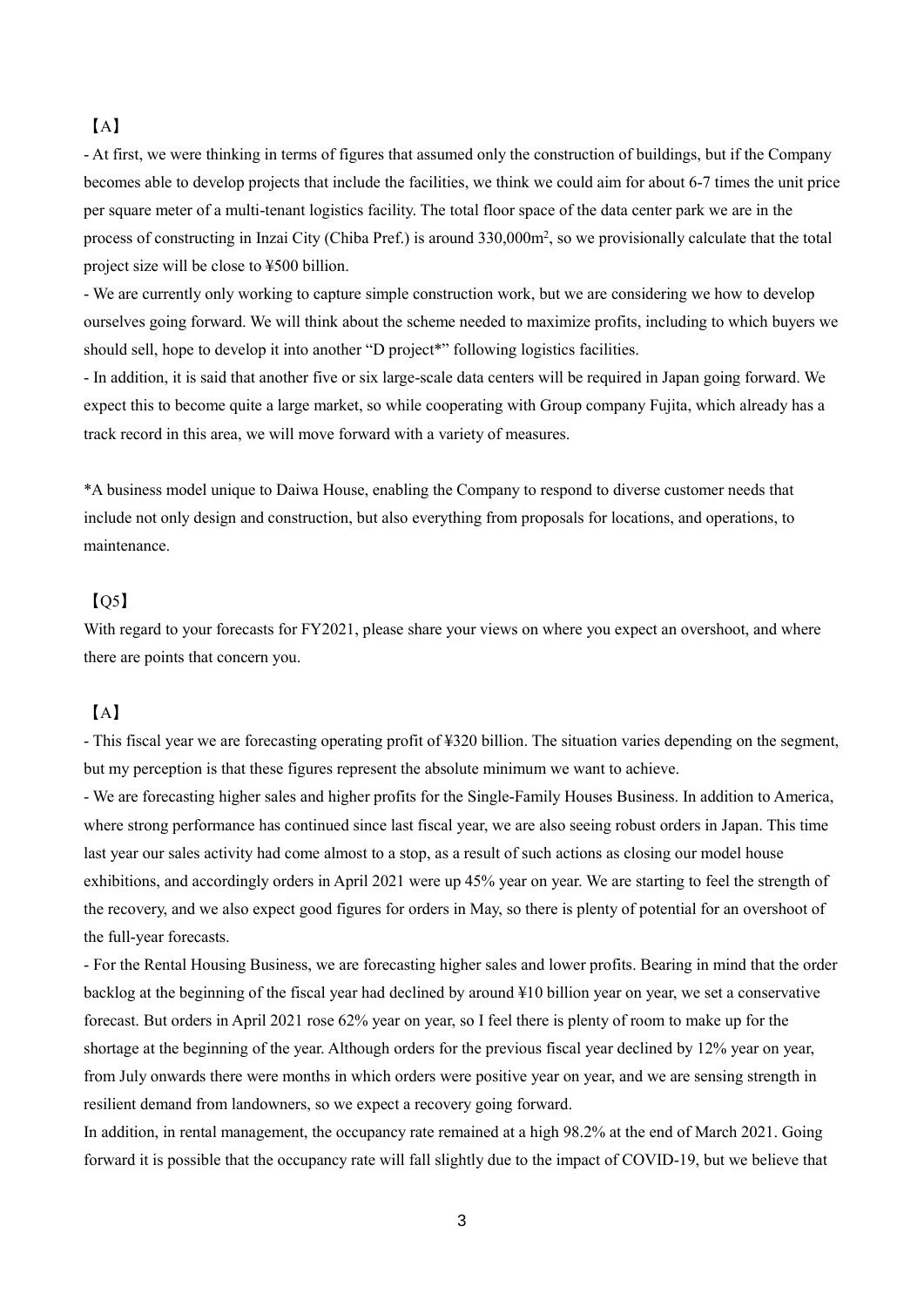## 【A】

- At first, we were thinking in terms of figures that assumed only the construction of buildings, but if the Company becomes able to develop projects that include the facilities, we think we could aim for about 6-7 times the unit price per square meter of a multi-tenant logistics facility. The total floor space of the data center park we are in the process of constructing in Inzai City (Chiba Pref.) is around 330,000m<sup>2</sup>, so we provisionally calculate that the total project size will be close to ¥500 billion.

- We are currently only working to capture simple construction work, but we are considering we how to develop ourselves going forward. We will think about the scheme needed to maximize profits, including to which buyers we should sell, hope to develop it into another "D project\*" following logistics facilities.

- In addition, it is said that another five or six large-scale data centers will be required in Japan going forward. We expect this to become quite a large market, so while cooperating with Group company Fujita, which already has a track record in this area, we will move forward with a variety of measures.

\*A business model unique to Daiwa House, enabling the Company to respond to diverse customer needs that include not only design and construction, but also everything from proposals for locations, and operations, to maintenance.

## $[05]$

With regard to your forecasts for FY2021, please share your views on where you expect an overshoot, and where there are points that concern you.

## 【A】

- This fiscal year we are forecasting operating profit of ¥320 billion. The situation varies depending on the segment, but my perception is that these figures represent the absolute minimum we want to achieve.

- We are forecasting higher sales and higher profits for the Single-Family Houses Business. In addition to America, where strong performance has continued since last fiscal year, we are also seeing robust orders in Japan. This time last year our sales activity had come almost to a stop, as a result of such actions as closing our model house exhibitions, and accordingly orders in April 2021 were up 45% year on year. We are starting to feel the strength of the recovery, and we also expect good figures for orders in May, so there is plenty of potential for an overshoot of the full-year forecasts.

- For the Rental Housing Business, we are forecasting higher sales and lower profits. Bearing in mind that the order backlog at the beginning of the fiscal year had declined by around ¥10 billion year on year, we set a conservative forecast. But orders in April 2021 rose 62% year on year, so I feel there is plenty of room to make up for the shortage at the beginning of the year. Although orders for the previous fiscal year declined by 12% year on year, from July onwards there were months in which orders were positive year on year, and we are sensing strength in resilient demand from landowners, so we expect a recovery going forward.

In addition, in rental management, the occupancy rate remained at a high 98.2% at the end of March 2021. Going forward it is possible that the occupancy rate will fall slightly due to the impact of COVID-19, but we believe that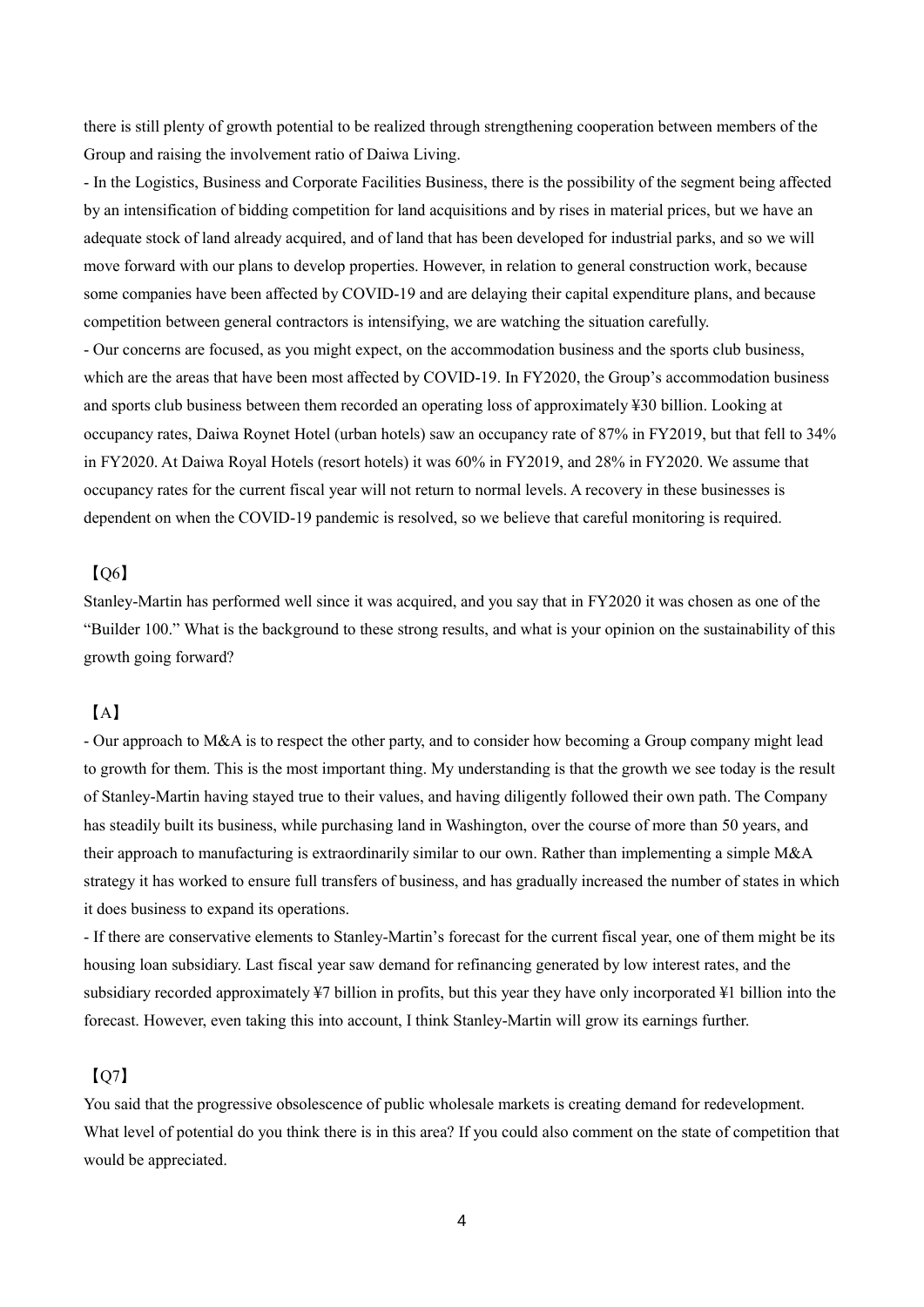there is still plenty of growth potential to be realized through strengthening cooperation between members of the Group and raising the involvement ratio of Daiwa Living.

- In the Logistics, Business and Corporate Facilities Business, there is the possibility of the segment being affected by an intensification of bidding competition for land acquisitions and by rises in material prices, but we have an adequate stock of land already acquired, and of land that has been developed for industrial parks, and so we will move forward with our plans to develop properties. However, in relation to general construction work, because some companies have been affected by COVID-19 and are delaying their capital expenditure plans, and because competition between general contractors is intensifying, we are watching the situation carefully. - Our concerns are focused, as you might expect, on the accommodation business and the sports club business, which are the areas that have been most affected by COVID-19. In FY2020, the Group's accommodation business and sports club business between them recorded an operating loss of approximately ¥30 billion. Looking at occupancy rates, Daiwa Roynet Hotel (urban hotels) saw an occupancy rate of 87% in FY2019, but that fell to 34% in FY2020. At Daiwa Royal Hotels (resort hotels) it was 60% in FY2019, and 28% in FY2020. We assume that occupancy rates for the current fiscal year will not return to normal levels. A recovery in these businesses is dependent on when the COVID-19 pandemic is resolved, so we believe that careful monitoring is required.

## $IO6]$

Stanley-Martin has performed well since it was acquired, and you say that in FY2020 it was chosen as one of the "Builder 100." What is the background to these strong results, and what is your opinion on the sustainability of this growth going forward?

## 【A】

- Our approach to M&A is to respect the other party, and to consider how becoming a Group company might lead to growth for them. This is the most important thing. My understanding is that the growth we see today is the result of Stanley-Martin having stayed true to their values, and having diligently followed their own path. The Company has steadily built its business, while purchasing land in Washington, over the course of more than 50 years, and their approach to manufacturing is extraordinarily similar to our own. Rather than implementing a simple M&A strategy it has worked to ensure full transfers of business, and has gradually increased the number of states in which it does business to expand its operations.

- If there are conservative elements to Stanley-Martin's forecast for the current fiscal year, one of them might be its housing loan subsidiary. Last fiscal year saw demand for refinancing generated by low interest rates, and the subsidiary recorded approximately ¥7 billion in profits, but this year they have only incorporated ¥1 billion into the forecast. However, even taking this into account, I think Stanley-Martin will grow its earnings further.

#### 【Q7】

You said that the progressive obsolescence of public wholesale markets is creating demand for redevelopment. What level of potential do you think there is in this area? If you could also comment on the state of competition that would be appreciated.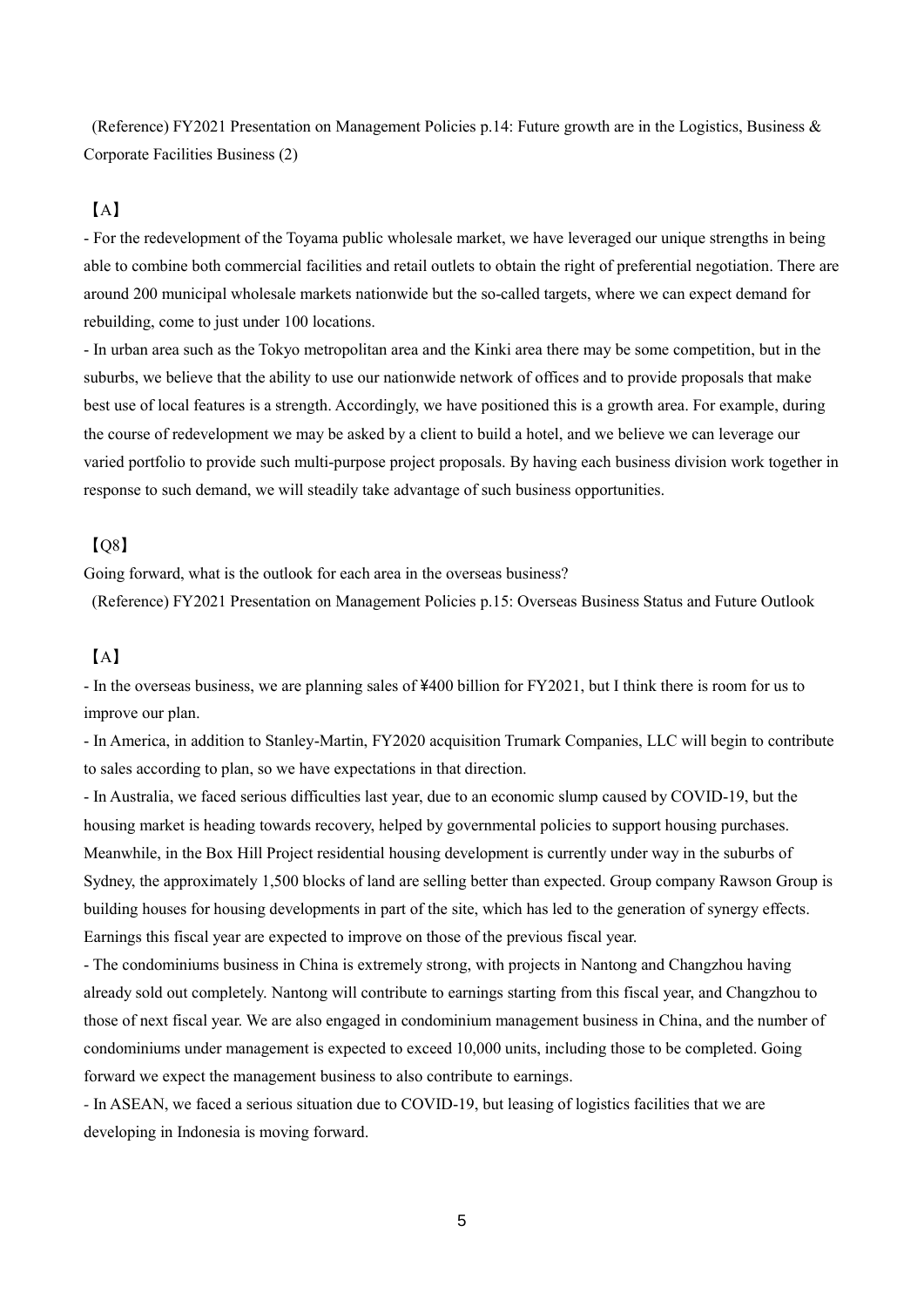(Reference) FY2021 Presentation on Management Policies p.14: Future growth are in the Logistics, Business & Corporate Facilities Business (2)

## 【A】

- For the redevelopment of the Toyama public wholesale market, we have leveraged our unique strengths in being able to combine both commercial facilities and retail outlets to obtain the right of preferential negotiation. There are around 200 municipal wholesale markets nationwide but the so-called targets, where we can expect demand for rebuilding, come to just under 100 locations.

- In urban area such as the Tokyo metropolitan area and the Kinki area there may be some competition, but in the suburbs, we believe that the ability to use our nationwide network of offices and to provide proposals that make best use of local features is a strength. Accordingly, we have positioned this is a growth area. For example, during the course of redevelopment we may be asked by a client to build a hotel, and we believe we can leverage our varied portfolio to provide such multi-purpose project proposals. By having each business division work together in response to such demand, we will steadily take advantage of such business opportunities.

#### $[0.8]$

Going forward, what is the outlook for each area in the overseas business?

(Reference) FY2021 Presentation on Management Policies p.15: Overseas Business Status and Future Outlook

### 【A】

- In the overseas business, we are planning sales of ¥400 billion for FY2021, but I think there is room for us to improve our plan.

- In America, in addition to Stanley-Martin, FY2020 acquisition Trumark Companies, LLC will begin to contribute to sales according to plan, so we have expectations in that direction.

- In Australia, we faced serious difficulties last year, due to an economic slump caused by COVID-19, but the housing market is heading towards recovery, helped by governmental policies to support housing purchases. Meanwhile, in the Box Hill Project residential housing development is currently under way in the suburbs of Sydney, the approximately 1,500 blocks of land are selling better than expected. Group company Rawson Group is building houses for housing developments in part of the site, which has led to the generation of synergy effects. Earnings this fiscal year are expected to improve on those of the previous fiscal year.

- The condominiums business in China is extremely strong, with projects in Nantong and Changzhou having already sold out completely. Nantong will contribute to earnings starting from this fiscal year, and Changzhou to those of next fiscal year. We are also engaged in condominium management business in China, and the number of condominiums under management is expected to exceed 10,000 units, including those to be completed. Going forward we expect the management business to also contribute to earnings.

*-* In ASEAN, we faced a serious situation due to COVID-19, but leasing of logistics facilities that we are developing in Indonesia is moving forward.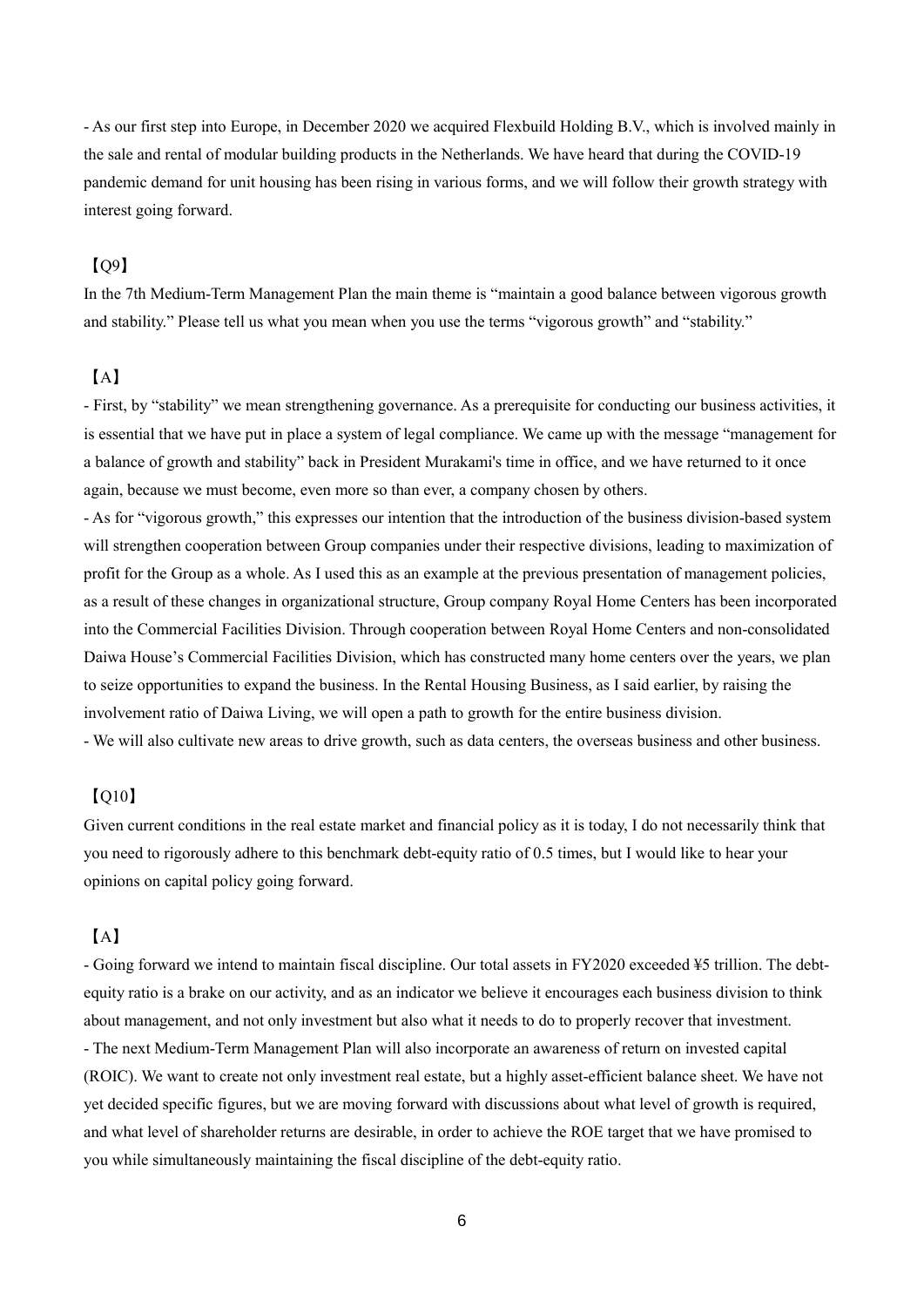- As our first step into Europe, in December 2020 we acquired Flexbuild Holding B.V., which is involved mainly in the sale and rental of modular building products in the Netherlands. We have heard that during the COVID-19 pandemic demand for unit housing has been rising in various forms, and we will follow their growth strategy with interest going forward.

#### $[0.09]$

In the 7th Medium-Term Management Plan the main theme is "maintain a good balance between vigorous growth and stability." Please tell us what you mean when you use the terms "vigorous growth" and "stability."

#### 【A】

- First, by "stability" we mean strengthening governance. As a prerequisite for conducting our business activities, it is essential that we have put in place a system of legal compliance. We came up with the message "management for a balance of growth and stability" back in President Murakami's time in office, and we have returned to it once again, because we must become, even more so than ever, a company chosen by others.

- As for "vigorous growth," this expresses our intention that the introduction of the business division-based system will strengthen cooperation between Group companies under their respective divisions, leading to maximization of profit for the Group as a whole. As I used this as an example at the previous presentation of management policies, as a result of these changes in organizational structure, Group company Royal Home Centers has been incorporated into the Commercial Facilities Division. Through cooperation between Royal Home Centers and non-consolidated Daiwa House's Commercial Facilities Division, which has constructed many home centers over the years, we plan to seize opportunities to expand the business. In the Rental Housing Business, as I said earlier, by raising the involvement ratio of Daiwa Living, we will open a path to growth for the entire business division. - We will also cultivate new areas to drive growth, such as data centers, the overseas business and other business.

#### 【Q10】

Given current conditions in the real estate market and financial policy as it is today, I do not necessarily think that you need to rigorously adhere to this benchmark debt-equity ratio of 0.5 times, but I would like to hear your opinions on capital policy going forward.

#### 【A】

- Going forward we intend to maintain fiscal discipline. Our total assets in FY2020 exceeded ¥5 trillion. The debtequity ratio is a brake on our activity, and as an indicator we believe it encourages each business division to think about management, and not only investment but also what it needs to do to properly recover that investment. - The next Medium-Term Management Plan will also incorporate an awareness of return on invested capital (ROIC). We want to create not only investment real estate, but a highly asset-efficient balance sheet. We have not yet decided specific figures, but we are moving forward with discussions about what level of growth is required, and what level of shareholder returns are desirable, in order to achieve the ROE target that we have promised to you while simultaneously maintaining the fiscal discipline of the debt-equity ratio.